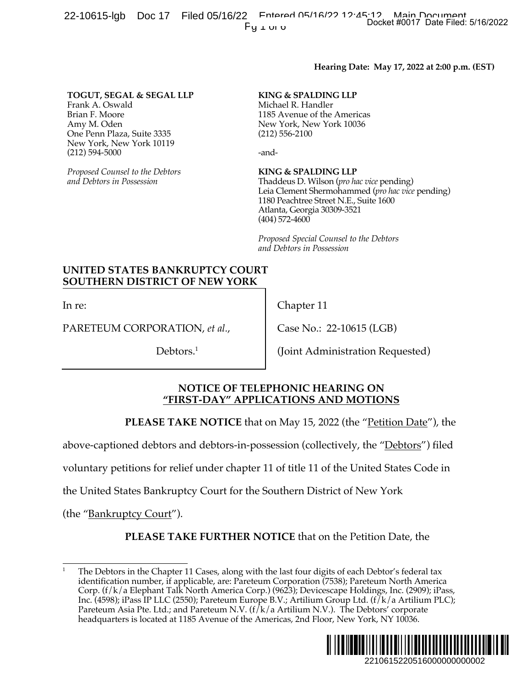22-10615-lgb Doc 17 Filed 05/16/22 Entered 05/16/22 Docket #0017 Date Filed: 5/16/2022 Pu Lui u

#### **Hearing Date: May 17, 2022 at 2:00 p.m. (EST)**

#### **TOGUT, SEGAL & SEGAL LLP**

Frank A. Oswald Brian F. Moore Amy M. Oden One Penn Plaza, Suite 3335 New York, New York 10119 (212) 594-5000

*Proposed Counsel to the Debtors and Debtors in Possession*

#### **KING & SPALDING LLP**

Michael R. Handler 1185 Avenue of the Americas New York, New York 10036 (212) 556-2100

-and-

#### **KING & SPALDING LLP**

Thaddeus D. Wilson (*pro hac vice* pending) Leia Clement Shermohammed (*pro hac vice* pending) 1180 Peachtree Street N.E., Suite 1600 Atlanta, Georgia 30309-3521 (404) 572-4600

*Proposed Special Counsel to the Debtors and Debtors in Possession*

#### **UNITED STATES BANKRUPTCY COURT SOUTHERN DISTRICT OF NEW YORK**

In re:

PARETEUM CORPORATION, *et al.*,

Debtors.<sup>1</sup>

Chapter 11

Case No.: 22-10615 (LGB)

(Joint Administration Requested)

#### **NOTICE OF TELEPHONIC HEARING ON "FIRST-DAY" APPLICATIONS AND MOTIONS**

**PLEASE TAKE NOTICE** that on May 15, 2022 (the "Petition Date"), the

above-captioned debtors and debtors-in-possession (collectively, the "Debtors") filed

voluntary petitions for relief under chapter 11 of title 11 of the United States Code in

the United States Bankruptcy Court for the Southern District of New York

(the "Bankruptcy Court").

**PLEASE TAKE FURTHER NOTICE** that on the Petition Date, the

<sup>1</sup> The Debtors in the Chapter 11 Cases, along with the last four digits of each Debtor's federal tax identification number, if applicable, are: Pareteum Corporation (7538); Pareteum North America Corp. (f/k/a Elephant Talk North America Corp.) (9623); Devicescape Holdings, Inc. (2909); iPass, Inc. (4598); iPass IP LLC (2550); Pareteum Europe B.V.; Artilium Group Ltd. (f/k/a Artilium PLC); Pareteum Asia Pte. Ltd.; and Pareteum N.V. ( $f/k/a$  Artilium N.V.). The Debtors' corporate headquarters is located at 1185 Avenue of the Americas, 2nd Floor, New York, NY 10036. Docket #0017 Date Filed: 5/16/2022<br>
2: May 17, 2022 at 2:00 p.m. (EST)<br>
wice pending)<br>
yie emding)<br>
d (*pro hac vice* pending)<br>
die 1600<br>
e Debtors<br>
Petition Date"), the<br>
free "<u>Debtors"</u>) filed<br>
ited States Code in<br>
emay

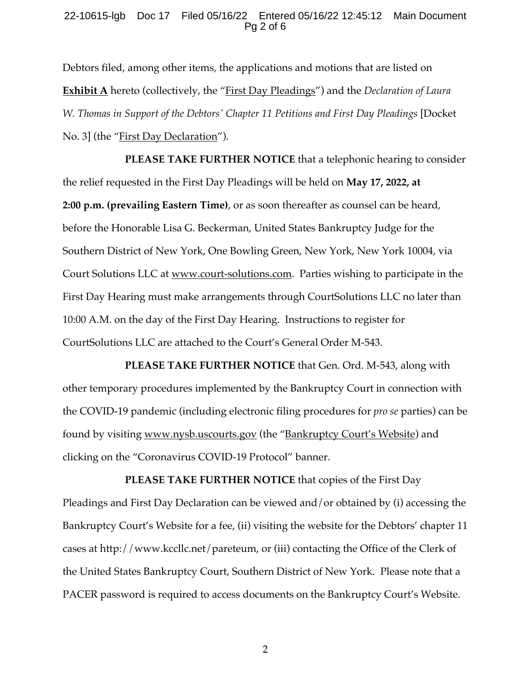#### 22-10615-lgb Doc 17 Filed 05/16/22 Entered 05/16/22 12:45:12 Main Document Pg 2 of 6

Debtors filed, among other items, the applications and motions that are listed on **Exhibit A** hereto (collectively, the "First Day Pleadings") and the *Declaration of Laura W. Thomas in Support of the Debtors' Chapter 11 Petitions and First Day Pleadings* [Docket No. 3] (the "<u>First Day Declaration</u>").

**PLEASE TAKE FURTHER NOTICE** that a telephonic hearing to consider the relief requested in the First Day Pleadings will be held on **May 17, 2022, at 2:00 p.m. (prevailing Eastern Time)**, or as soon thereafter as counsel can be heard, before the Honorable Lisa G. Beckerman, United States Bankruptcy Judge for the Southern District of New York, One Bowling Green, New York, New York 10004, via Court Solutions LLC at www.court-solutions.com. Parties wishing to participate in the First Day Hearing must make arrangements through CourtSolutions LLC no later than 10:00 A.M. on the day of the First Day Hearing. Instructions to register for CourtSolutions LLC are attached to the Court's General Order M-543.

**PLEASE TAKE FURTHER NOTICE** that Gen. Ord. M-543, along with other temporary procedures implemented by the Bankruptcy Court in connection with the COVID-19 pandemic (including electronic filing procedures for *pro se* parties) can be found by visiting www.nysb.uscourts.gov (the "Bankruptcy Court's Website) and clicking on the "Coronavirus COVID-19 Protocol" banner.

**PLEASE TAKE FURTHER NOTICE** that copies of the First Day Pleadings and First Day Declaration can be viewed and/or obtained by (i) accessing the Bankruptcy Court's Website for a fee, (ii) visiting the website for the Debtors' chapter 11 cases at http://www.kccllc.net/pareteum, or (iii) contacting the Office of the Clerk of the United States Bankruptcy Court, Southern District of New York. Please note that a PACER password is required to access documents on the Bankruptcy Court's Website.

2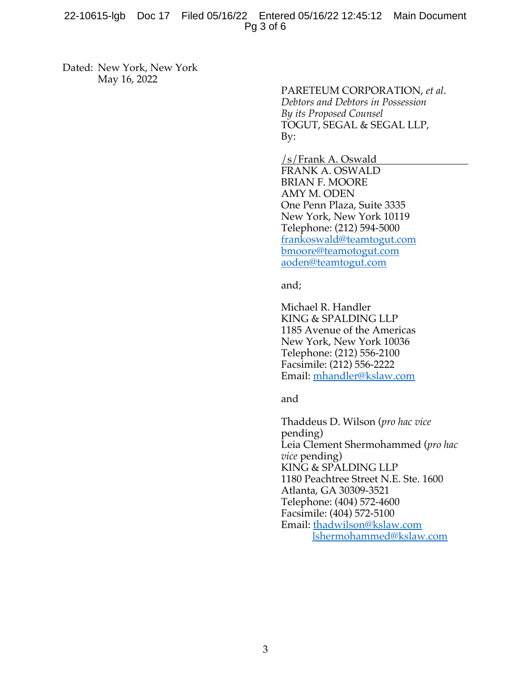#### 22-10615-lgb Doc 17 Filed 05/16/22 Entered 05/16/22 12:45:12 Main Document Pg 3 of 6

Dated: New York, New York May 16, 2022

PARETEUM CORPORATION, *et al*. *Debtors and Debtors in Possession By its Proposed Counsel* TOGUT, SEGAL & SEGAL LLP, By:

/s/Frank A. Oswald FRANK A. OSWALD BRIAN F. MOORE AMY M. ODEN One Penn Plaza, Suite 3335 New York, New York 10119 Telephone: (212) 594-5000 frankoswald@teamtogut.com bmoore@teamotogut.com aoden@teamtogut.com

and;

Michael R. Handler KING & SPALDING LLP 1185 Avenue of the Americas New York, New York 10036 Telephone: (212) 556-2100 Facsimile: (212) 556-2222 Email: mhandler@kslaw.com

and

Thaddeus D. Wilson (*pro hac vice* pending) Leia Clement Shermohammed (*pro hac vice* pending) KING & SPALDING LLP 1180 Peachtree Street N.E. Ste. 1600 Atlanta, GA 30309-3521 Telephone: (404) 572-4600 Facsimile: (404) 572-5100 Email: thadwilson@kslaw.com lshermohammed@kslaw.com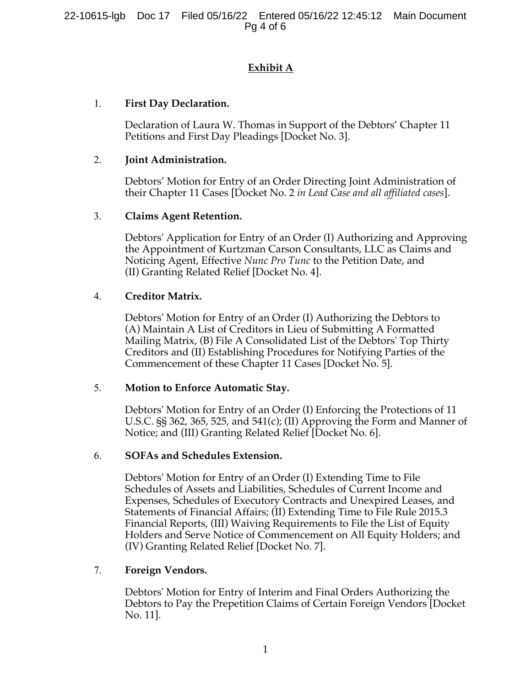# **Exhibit A**

## 1. **First Day Declaration.**

Declaration of Laura W. Thomas in Support of the Debtors' Chapter 11 Petitions and First Day Pleadings [Docket No. 3].

### 2. **Joint Administration.**

Debtors' Motion for Entry of an Order Directing Joint Administration of their Chapter 11 Cases [Docket No. 2 *in Lead Case and all affiliated cases*].

### 3. **Claims Agent Retention.**

Debtors' Application for Entry of an Order (I) Authorizing and Approving the Appointment of Kurtzman Carson Consultants, LLC as Claims and Noticing Agent, Effective *Nunc Pro Tunc* to the Petition Date, and (II) Granting Related Relief [Docket No. 4].

#### 4. **Creditor Matrix.**

Debtors' Motion for Entry of an Order (I) Authorizing the Debtors to (A) Maintain A List of Creditors in Lieu of Submitting A Formatted Mailing Matrix, (B) File A Consolidated List of the Debtors' Top Thirty Creditors and (II) Establishing Procedures for Notifying Parties of the Commencement of these Chapter 11 Cases [Docket No. 5].

### 5. **Motion to Enforce Automatic Stay.**

Debtors' Motion for Entry of an Order (I) Enforcing the Protections of 11 U.S.C. §§ 362, 365, 525, and 541(c); (II) Approving the Form and Manner of Notice; and (III) Granting Related Relief [Docket No. 6].

### 6. **SOFAs and Schedules Extension.**

Debtors' Motion for Entry of an Order (I) Extending Time to File Schedules of Assets and Liabilities, Schedules of Current Income and Expenses, Schedules of Executory Contracts and Unexpired Leases, and Statements of Financial Affairs; (II) Extending Time to File Rule 2015.3 Financial Reports, (III) Waiving Requirements to File the List of Equity Holders and Serve Notice of Commencement on All Equity Holders; and (IV) Granting Related Relief [Docket No. 7].

### 7. **Foreign Vendors.**

Debtors' Motion for Entry of Interim and Final Orders Authorizing the Debtors to Pay the Prepetition Claims of Certain Foreign Vendors [Docket No. 11].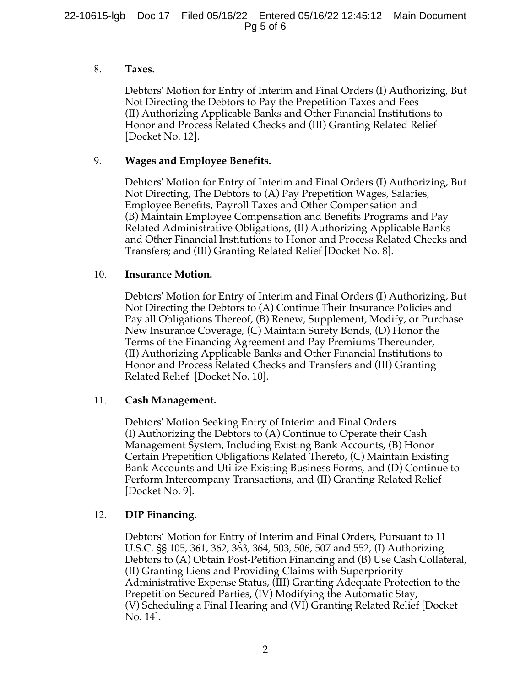#### 8. **Taxes.**

Debtors' Motion for Entry of Interim and Final Orders (I) Authorizing, But Not Directing the Debtors to Pay the Prepetition Taxes and Fees (II) Authorizing Applicable Banks and Other Financial Institutions to Honor and Process Related Checks and (III) Granting Related Relief [Docket No. 12].

#### 9. **Wages and Employee Benefits.**

Debtors' Motion for Entry of Interim and Final Orders (I) Authorizing, But Not Directing, The Debtors to (A) Pay Prepetition Wages, Salaries, Employee Benefits, Payroll Taxes and Other Compensation and (B) Maintain Employee Compensation and Benefits Programs and Pay Related Administrative Obligations, (II) Authorizing Applicable Banks and Other Financial Institutions to Honor and Process Related Checks and Transfers; and (III) Granting Related Relief [Docket No. 8].

#### 10. **Insurance Motion.**

Debtors' Motion for Entry of Interim and Final Orders (I) Authorizing, But Not Directing the Debtors to (A) Continue Their Insurance Policies and Pay all Obligations Thereof, (B) Renew, Supplement, Modify, or Purchase New Insurance Coverage, (C) Maintain Surety Bonds, (D) Honor the Terms of the Financing Agreement and Pay Premiums Thereunder, (II) Authorizing Applicable Banks and Other Financial Institutions to Honor and Process Related Checks and Transfers and (III) Granting Related Relief [Docket No. 10].

### 11. **Cash Management.**

Debtors' Motion Seeking Entry of Interim and Final Orders (I) Authorizing the Debtors to (A) Continue to Operate their Cash Management System, Including Existing Bank Accounts, (B) Honor Certain Prepetition Obligations Related Thereto, (C) Maintain Existing Bank Accounts and Utilize Existing Business Forms, and (D) Continue to Perform Intercompany Transactions, and (II) Granting Related Relief [Docket No. 9].

### 12. **DIP Financing.**

Debtors' Motion for Entry of Interim and Final Orders, Pursuant to 11 U.S.C. §§ 105, 361, 362, 363, 364, 503, 506, 507 and 552, (I) Authorizing Debtors to (A) Obtain Post-Petition Financing and (B) Use Cash Collateral, (II) Granting Liens and Providing Claims with Superpriority Administrative Expense Status, (III) Granting Adequate Protection to the Prepetition Secured Parties, (IV) Modifying the Automatic Stay, (V) Scheduling a Final Hearing and (VI) Granting Related Relief [Docket No. 14].